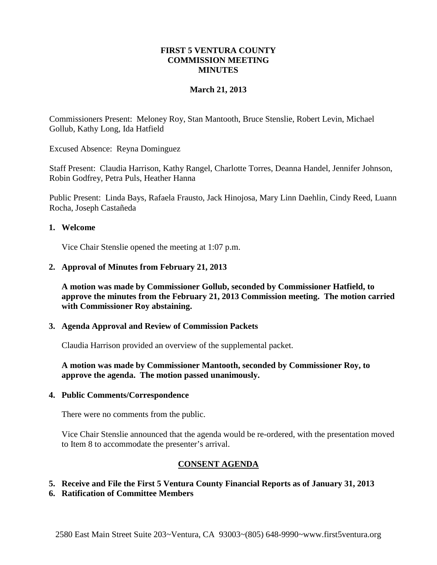### **FIRST 5 VENTURA COUNTY COMMISSION MEETING MINUTES**

## **March 21, 2013**

Commissioners Present: Meloney Roy, Stan Mantooth, Bruce Stenslie, Robert Levin, Michael Gollub, Kathy Long, Ida Hatfield

Excused Absence: Reyna Dominguez

Staff Present: Claudia Harrison, Kathy Rangel, Charlotte Torres, Deanna Handel, Jennifer Johnson, Robin Godfrey, Petra Puls, Heather Hanna

Public Present: Linda Bays, Rafaela Frausto, Jack Hinojosa, Mary Linn Daehlin, Cindy Reed, Luann Rocha, Joseph Castañeda

### **1. Welcome**

Vice Chair Stenslie opened the meeting at 1:07 p.m.

### **2. Approval of Minutes from February 21, 2013**

**A motion was made by Commissioner Gollub, seconded by Commissioner Hatfield, to approve the minutes from the February 21, 2013 Commission meeting. The motion carried with Commissioner Roy abstaining.**

### **3. Agenda Approval and Review of Commission Packets**

Claudia Harrison provided an overview of the supplemental packet.

## **A motion was made by Commissioner Mantooth, seconded by Commissioner Roy, to approve the agenda. The motion passed unanimously.**

### **4. Public Comments/Correspondence**

There were no comments from the public.

Vice Chair Stenslie announced that the agenda would be re-ordered, with the presentation moved to Item 8 to accommodate the presenter's arrival.

# **CONSENT AGENDA**

### **5. Receive and File the First 5 Ventura County Financial Reports as of January 31, 2013**

**6. Ratification of Committee Members**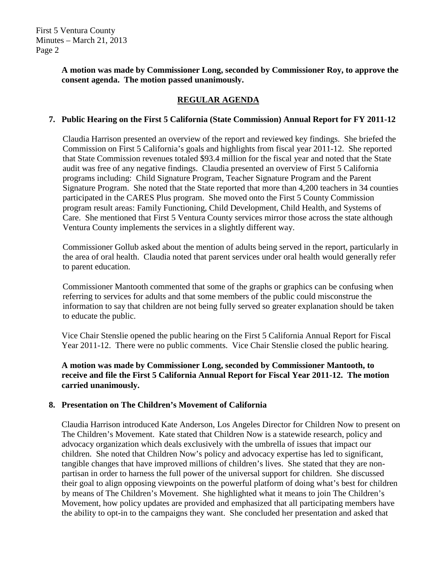## **A motion was made by Commissioner Long, seconded by Commissioner Roy, to approve the consent agenda. The motion passed unanimously.**

# **REGULAR AGENDA**

# **7. Public Hearing on the First 5 California (State Commission) Annual Report for FY 2011-12**

Claudia Harrison presented an overview of the report and reviewed key findings. She briefed the Commission on First 5 California's goals and highlights from fiscal year 2011-12. She reported that State Commission revenues totaled \$93.4 million for the fiscal year and noted that the State audit was free of any negative findings. Claudia presented an overview of First 5 California programs including: Child Signature Program, Teacher Signature Program and the Parent Signature Program. She noted that the State reported that more than 4,200 teachers in 34 counties participated in the CARES Plus program. She moved onto the First 5 County Commission program result areas: Family Functioning, Child Development, Child Health, and Systems of Care. She mentioned that First 5 Ventura County services mirror those across the state although Ventura County implements the services in a slightly different way.

Commissioner Gollub asked about the mention of adults being served in the report, particularly in the area of oral health. Claudia noted that parent services under oral health would generally refer to parent education.

Commissioner Mantooth commented that some of the graphs or graphics can be confusing when referring to services for adults and that some members of the public could misconstrue the information to say that children are not being fully served so greater explanation should be taken to educate the public.

Vice Chair Stenslie opened the public hearing on the First 5 California Annual Report for Fiscal Year 2011-12. There were no public comments. Vice Chair Stenslie closed the public hearing.

**A motion was made by Commissioner Long, seconded by Commissioner Mantooth, to receive and file the First 5 California Annual Report for Fiscal Year 2011-12. The motion carried unanimously.**

# **8. Presentation on The Children's Movement of California**

Claudia Harrison introduced Kate Anderson, Los Angeles Director for Children Now to present on The Children's Movement. Kate stated that Children Now is a statewide research, policy and advocacy organization which deals exclusively with the umbrella of issues that impact our children. She noted that Children Now's policy and advocacy expertise has led to significant, tangible changes that have improved millions of children's lives. She stated that they are nonpartisan in order to harness the full power of the universal support for children. She discussed their goal to align opposing viewpoints on the powerful platform of doing what's best for children by means of The Children's Movement. She highlighted what it means to join The Children's Movement, how policy updates are provided and emphasized that all participating members have the ability to opt-in to the campaigns they want. She concluded her presentation and asked that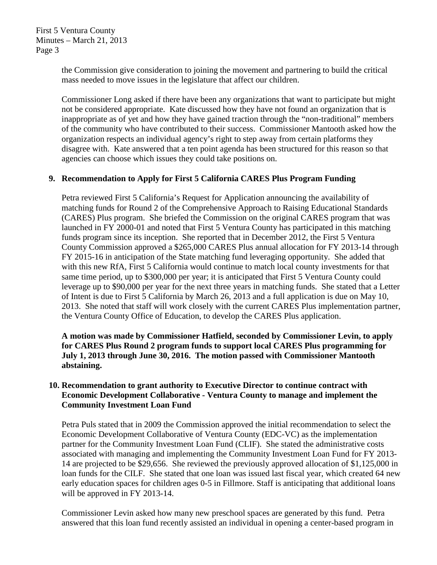> the Commission give consideration to joining the movement and partnering to build the critical mass needed to move issues in the legislature that affect our children.

Commissioner Long asked if there have been any organizations that want to participate but might not be considered appropriate. Kate discussed how they have not found an organization that is inappropriate as of yet and how they have gained traction through the "non-traditional" members of the community who have contributed to their success. Commissioner Mantooth asked how the organization respects an individual agency's right to step away from certain platforms they disagree with. Kate answered that a ten point agenda has been structured for this reason so that agencies can choose which issues they could take positions on.

## **9. Recommendation to Apply for First 5 California CARES Plus Program Funding**

Petra reviewed First 5 California's Request for Application announcing the availability of matching funds for Round 2 of the Comprehensive Approach to Raising Educational Standards (CARES) Plus program. She briefed the Commission on the original CARES program that was launched in FY 2000-01 and noted that First 5 Ventura County has participated in this matching funds program since its inception. She reported that in December 2012, the First 5 Ventura County Commission approved a \$265,000 CARES Plus annual allocation for FY 2013-14 through FY 2015-16 in anticipation of the State matching fund leveraging opportunity. She added that with this new RfA, First 5 California would continue to match local county investments for that same time period, up to \$300,000 per year; it is anticipated that First 5 Ventura County could leverage up to \$90,000 per year for the next three years in matching funds. She stated that a Letter of Intent is due to First 5 California by March 26, 2013 and a full application is due on May 10, 2013. She noted that staff will work closely with the current CARES Plus implementation partner, the Ventura County Office of Education, to develop the CARES Plus application.

**A motion was made by Commissioner Hatfield, seconded by Commissioner Levin, to apply for CARES Plus Round 2 program funds to support local CARES Plus programming for July 1, 2013 through June 30, 2016. The motion passed with Commissioner Mantooth abstaining.**

## **10. Recommendation to grant authority to Executive Director to continue contract with Economic Development Collaborative - Ventura County to manage and implement the Community Investment Loan Fund**

Petra Puls stated that in 2009 the Commission approved the initial recommendation to select the Economic Development Collaborative of Ventura County (EDC-VC) as the implementation partner for the Community Investment Loan Fund (CLIF). She stated the administrative costs associated with managing and implementing the Community Investment Loan Fund for FY 2013- 14 are projected to be \$29,656. She reviewed the previously approved allocation of \$1,125,000 in loan funds for the CILF. She stated that one loan was issued last fiscal year, which created 64 new early education spaces for children ages 0-5 in Fillmore. Staff is anticipating that additional loans will be approved in FY 2013-14.

Commissioner Levin asked how many new preschool spaces are generated by this fund. Petra answered that this loan fund recently assisted an individual in opening a center-based program in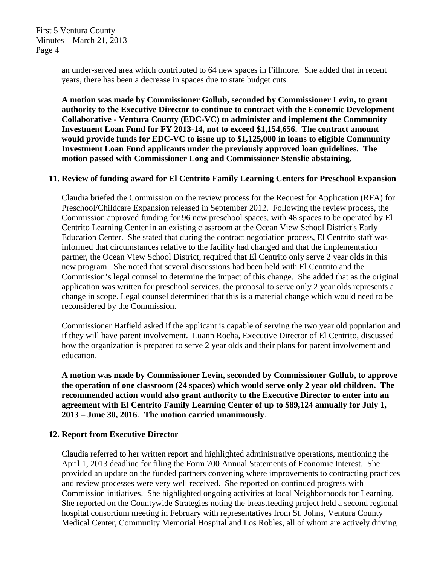> an under-served area which contributed to 64 new spaces in Fillmore. She added that in recent years, there has been a decrease in spaces due to state budget cuts.

**A motion was made by Commissioner Gollub, seconded by Commissioner Levin, to grant authority to the Executive Director to continue to contract with the Economic Development Collaborative - Ventura County (EDC-VC) to administer and implement the Community Investment Loan Fund for FY 2013-14, not to exceed \$1,154,656. The contract amount would provide funds for EDC-VC to issue up to \$1,125,000 in loans to eligible Community Investment Loan Fund applicants under the previously approved loan guidelines. The motion passed with Commissioner Long and Commissioner Stenslie abstaining.**

### **11. Review of funding award for El Centrito Family Learning Centers for Preschool Expansion**

Claudia briefed the Commission on the review process for the Request for Application (RFA) for Preschool/Childcare Expansion released in September 2012. Following the review process, the Commission approved funding for 96 new preschool spaces, with 48 spaces to be operated by El Centrito Learning Center in an existing classroom at the Ocean View School District's Early Education Center. She stated that during the contract negotiation process, El Centrito staff was informed that circumstances relative to the facility had changed and that the implementation partner, the Ocean View School District, required that El Centrito only serve 2 year olds in this new program. She noted that several discussions had been held with El Centrito and the Commission's legal counsel to determine the impact of this change. She added that as the original application was written for preschool services, the proposal to serve only 2 year olds represents a change in scope. Legal counsel determined that this is a material change which would need to be reconsidered by the Commission.

Commissioner Hatfield asked if the applicant is capable of serving the two year old population and if they will have parent involvement. Luann Rocha, Executive Director of El Centrito, discussed how the organization is prepared to serve 2 year olds and their plans for parent involvement and education.

**A motion was made by Commissioner Levin, seconded by Commissioner Gollub, to approve the operation of one classroom (24 spaces) which would serve only 2 year old children. The recommended action would also grant authority to the Executive Director to enter into an agreement with El Centrito Family Learning Center of up to \$89,124 annually for July 1, 2013 – June 30, 2016**. **The motion carried unanimously**.

### **12. Report from Executive Director**

Claudia referred to her written report and highlighted administrative operations, mentioning the April 1, 2013 deadline for filing the Form 700 Annual Statements of Economic Interest. She provided an update on the funded partners convening where improvements to contracting practices and review processes were very well received. She reported on continued progress with Commission initiatives. She highlighted ongoing activities at local Neighborhoods for Learning. She reported on the Countywide Strategies noting the breastfeeding project held a second regional hospital consortium meeting in February with representatives from St. Johns, Ventura County Medical Center, Community Memorial Hospital and Los Robles, all of whom are actively driving